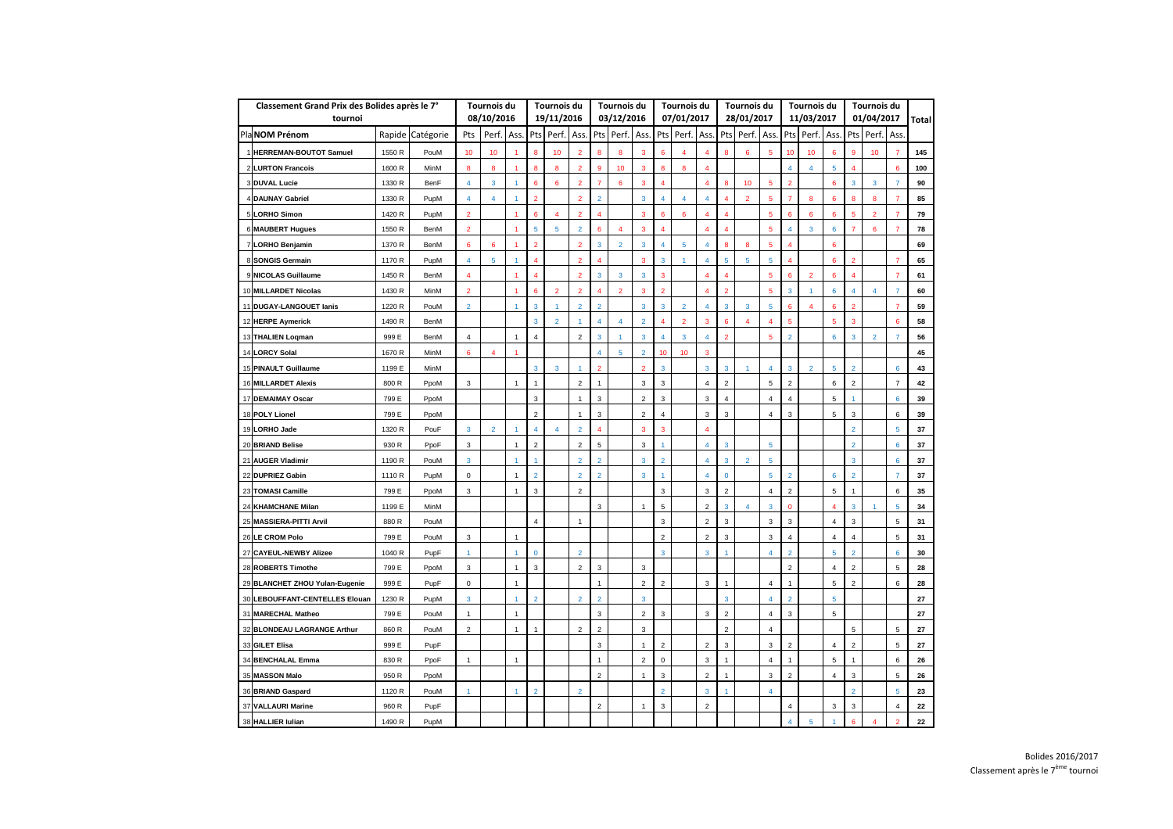| Classement Grand Prix des Bolides après le 7° |        | <b>Tournois du</b> |                 |                       | <b>Tournois du</b> |                        |                    | <b>Tournois du</b> |                |                | Tournois du    |                |                                         | <b>Tournois du</b> |                |                          | Tournois du    |                       |                | <b>Tournois du</b> |                        |                |                |              |
|-----------------------------------------------|--------|--------------------|-----------------|-----------------------|--------------------|------------------------|--------------------|--------------------|----------------|----------------|----------------|----------------|-----------------------------------------|--------------------|----------------|--------------------------|----------------|-----------------------|----------------|--------------------|------------------------|----------------|----------------|--------------|
| tournoi                                       |        |                    |                 | 08/10/2016            |                    |                        | 19/11/2016         |                    |                | 03/12/2016     |                |                | 07/01/2017                              |                    |                | 28/01/2017               |                |                       | 11/03/2017     |                    |                        | 01/04/2017     |                | <b>Total</b> |
| Pla NOM Prénom                                |        | Rapide Catégorie   | Pts             | Perf. Ass.            |                    |                        | Pts   Perf.   Ass. |                    |                | Pts Perf. Ass. |                |                | Pts   Perf.   Ass.   Pts   Perf.   Ass. |                    |                |                          |                |                       | Pts Perf. Ass. |                    |                        | Pts Perf. Ass. |                |              |
| <b>HERREMAN-BOUTOT Samuel</b>                 | 1550 R | PouM               | 10 <sup>°</sup> | 10                    |                    | 8                      | 10 <sup>1</sup>    | 2                  | 8              | 8              | 3              | 6              | $\overline{4}$                          | $\overline{4}$     | 8              | 6                        | 5              | 10                    | 10             | 6                  | 9                      | 10             |                | 145          |
| 2 LURTON Francois                             | 1600 R | <b>MinM</b>        | 8               | 8                     |                    | 8                      | 8                  |                    | 9              | 10             | 3              | 8              | 8                                       | 4                  |                |                          |                | $\boldsymbol{\Delta}$ |                | 5                  |                        |                | 6              | 100          |
| 3 DUVAL Lucie                                 | 1330 R | <b>BenF</b>        | 4               | 3                     |                    | 6                      | 6                  | $\overline{2}$     | 7              | 6              | 3              | Δ              |                                         | 4                  | 8              | 10 <sup>°</sup>          | $\overline{5}$ | $\overline{2}$        |                | 6                  | 3                      | 3              | 7              | 90           |
| 4İDAUNAY Gabriel                              | 1330 R | PupM               | 4               | $\boldsymbol{\Delta}$ |                    | $\overline{2}$         |                    | $\overline{2}$     | $\overline{2}$ |                | 3              |                | $\overline{4}$                          | 4                  | Δ              | $\overline{2}$           | 5              | $\overline{7}$        | 8              | 6                  | 8                      | 8              |                | 85           |
| 5LORHO Simon                                  | 1420 R | PupM               | $\overline{2}$  |                       |                    | 6                      | 4                  | 2                  | 4              |                | 3              | 6              | 6                                       | 4                  | 4              |                          | 5              | 6                     | 6              | 6                  | 5                      | $\overline{2}$ |                | 79           |
| 6 MAUBERT Hugues                              | 1550 R | <b>BenM</b>        | $\overline{2}$  |                       |                    | $5\phantom{.0}$        | 5                  | $\overline{2}$     | 6              | $\overline{4}$ | 3              | 4              |                                         | $\overline{4}$     | 4              |                          | 5              | 4                     | 3              | 6                  |                        | 6              |                | 78           |
| LORHO Benjamin                                | 1370 R | <b>BenM</b>        | 6               | 6                     |                    | $\overline{2}$         |                    | $\overline{2}$     | 3              | $\overline{2}$ | 3              |                | 5                                       | 4                  | 8              | 8                        | 5              |                       |                | 6                  |                        |                |                | 69           |
| 8 SONGIS Germain                              | 1170 R | PupM               | 4               | 5                     |                    | $\boldsymbol{\Lambda}$ |                    | $\overline{2}$     |                |                | -3             | 3              |                                         | 4                  | $\overline{5}$ | 5                        | 5              |                       |                | 6                  | $\overline{2}$         |                | 7              | 65           |
| 9 NICOLAS Guillaume                           | 1450 R | <b>BenM</b>        | 4               |                       |                    | $\boldsymbol{\Lambda}$ |                    | $\overline{2}$     | 3              | 3              | 3              | 3              |                                         | $\overline{4}$     | 4              |                          | $\overline{5}$ | 6                     | $\overline{2}$ | 6                  | $\boldsymbol{\Lambda}$ |                | 7              | 61           |
| 10 MILLARDET Nicolas                          | 1430 R | <b>MinM</b>        | $\overline{2}$  |                       |                    | 6                      | $\overline{2}$     | $\overline{2}$     |                | $\overline{2}$ | 3              | 2              |                                         | $\overline{4}$     | $\overline{2}$ |                          | $\overline{5}$ | 3                     |                | 6                  | $\overline{a}$         | $\overline{4}$ | 7              | 60           |
| 11 DUGAY-LANGOUET lanis                       | 1220 R | PouM               | $\overline{2}$  |                       |                    | 3                      |                    | $\overline{2}$     | $\overline{2}$ |                | 3              | 3              | $\overline{2}$                          | $\overline{4}$     | 3              | 3                        | 5              | 6                     |                | 6                  | $\mathcal{P}$          |                |                | 59           |
| 12 HERPE Aymerick                             | 1490 R | <b>BenM</b>        |                 |                       |                    | $\mathbf{3}$           | $\overline{2}$     |                    | 4              | 4              | $\overline{2}$ |                | $\overline{2}$                          | 3                  | 6              |                          | 4              | 5                     |                | 5                  | 3                      |                | 6              | 58           |
| 13 THALIEN Loqman                             | 999 E  | <b>BenM</b>        | 4               |                       |                    | $\overline{4}$         |                    | $\overline{2}$     | 3              |                | 3              |                | 3                                       | 4                  | $\overline{2}$ |                          | 5              | $\overline{2}$        |                | 6                  | 3                      | $\overline{2}$ |                | 56           |
| 14 LORCY Solal                                | 1670 R | <b>MinM</b>        | 6               | $\overline{4}$        |                    |                        |                    |                    | Δ              | 5              | $\overline{2}$ | 10             | 10 <sup>°</sup>                         | 3                  |                |                          |                |                       |                |                    |                        |                |                | 45           |
| 15 PINAULT Guillaume                          | 1199 E | <b>MinM</b>        |                 |                       |                    | $\mathbf{3}$           | 3                  |                    | $\overline{2}$ |                | $\overline{2}$ | 3              |                                         | $\overline{3}$     | 3              |                          | 4              | $\mathbf{3}$          | $\overline{2}$ | $\overline{5}$     | $\overline{2}$         |                | 6              | 43           |
| 16 MILLARDET Alexis                           | 800 R  | PpoM               | 3               |                       | 1                  | $\overline{1}$         |                    | $\overline{2}$     | -1             |                | 3              | 3              |                                         | $\overline{4}$     | $\overline{c}$ |                          | 5              | $\overline{2}$        |                | 6                  | $\overline{2}$         |                | $\overline{7}$ | 42           |
| 17 DEMAIMAY Oscar                             | 799 E  | PpoM               |                 |                       |                    | 3                      |                    |                    | 3              |                | 2              | 3              |                                         | 3                  | 4              |                          | 4              | $\boldsymbol{\Delta}$ |                | 5                  |                        |                | 6              | 39           |
| 18 POLY Lionel                                | 799 E  | PpoM               |                 |                       |                    | 2                      |                    |                    | 3              |                | 2              | 4              |                                         | 3                  | 3              |                          | 4              | 3                     |                | 5                  | 3                      |                | 6              | 39           |
| 19 LORHO Jade                                 | 1320 R | PouF               | 3               | $\overline{2}$        |                    | 4                      |                    | $\overline{2}$     | 4              |                | 3              | 3              |                                         | $\overline{4}$     |                |                          |                |                       |                |                    | $\overline{2}$         |                | 5              | 37           |
| 20 BRIAND Belise                              | 930 R  | PpoF               | 3               |                       |                    | 2                      |                    | $\overline{2}$     | 5              |                | 3              |                |                                         | 4                  | $\mathbf{3}$   |                          | 5              |                       |                |                    | $\overline{2}$         |                | 6              | 37           |
| 21 AUGER Vladimir                             | 1190 R | PouM               | 3               |                       |                    |                        |                    | $\overline{2}$     | $\overline{2}$ |                | 3              | 2              |                                         | $\overline{4}$     | 3              | $\overline{2}$           | 5              |                       |                |                    | 3                      |                | 6              | 37           |
| 22 DUPRIEZ Gabin                              | 1110 R | PupM               | 0               |                       | 1                  | $\overline{2}$         |                    | $\overline{2}$     | $\overline{2}$ |                | 3              |                |                                         | 4                  | $\bf{0}$       |                          | 5              | $\overline{2}$        |                | 6                  | $\overline{2}$         |                | 7              | 37           |
| 23 TOMASI Camille                             | 799 E  | PpoM               | 3               |                       | -1                 | 3                      |                    | $\mathbf{Z}$       |                |                |                | 3              |                                         | 3                  | $\mathbf{z}$   |                          | 4              | $\mathbf{Z}$          |                | $5\overline{a}$    | $\mathbf{1}$           |                | 6              | 35           |
| 24 KHAMCHANE Milan                            | 1199 E | MinM               |                 |                       |                    |                        |                    |                    | 3              |                | -1             | 5              |                                         | $\overline{2}$     | 3              | $\boldsymbol{\varDelta}$ | 3              | $\mathbf{0}$          |                | 4                  | 3                      |                | 5              | 34           |
| 25 MASSIERA-PITTI Arvil                       | 880 R  | PouM               |                 |                       |                    | $\overline{4}$         |                    |                    |                |                |                | 3              |                                         | $\overline{2}$     | 3              |                          | 3              | 3                     |                | 4                  | 3                      |                | 5              | 31           |
| 26 LE CROM Polo                               | 799 E  | PouM               | 3               |                       | $\mathbf{1}$       |                        |                    |                    |                |                |                | $\overline{2}$ |                                         | $\overline{2}$     | 3              |                          | 3              | 4                     |                | 4                  | 4                      |                | 5              | 31           |
| 27 CAYEUL-NEWBY Alizee                        | 1040 R | PupF               |                 |                       |                    | $\mathbf 0$            |                    | $\overline{2}$     |                |                |                | 3              |                                         | $\mathbf{3}$       |                |                          | 4              | $\overline{2}$        |                | 5                  | $\overline{2}$         |                | 6              | 30           |
| 28 ROBERTS Timothe                            | 799 E  | PpoM               | 3               |                       | 1                  | 3                      |                    | $\overline{2}$     | $\mathbf{3}$   |                | 3              |                |                                         |                    |                |                          |                | $\overline{2}$        |                | 4                  | $\overline{2}$         |                | 5              | 28           |
| 29 BLANCHET ZHOU Yulan-Eugenie                | 999 E  | PupF               | 0               |                       | $\mathbf{1}$       |                        |                    |                    | $\mathbf{1}$   |                | $\overline{2}$ | $\overline{2}$ |                                         | 3                  | $\mathbf{1}$   |                          | 4              | $\mathbf{1}$          |                | 5                  | $\overline{2}$         |                | 6              | 28           |
| 30 LEBOUFFANT-CENTELLES Elouan                | 1230 R | PupM               | 3               |                       |                    | $\overline{2}$         |                    | $\overline{2}$     | $\overline{2}$ |                | 3              |                |                                         |                    | 3              |                          | 4              | $\overline{2}$        |                | 5                  |                        |                |                | 27           |
| 31 MARECHAL Matheo                            | 799 E  | PouM               | -1              |                       | 1                  |                        |                    |                    | 3              |                | 2              | 3              |                                         | 3                  | $\overline{c}$ |                          | 4              | 3                     |                | 5                  |                        |                |                | 27           |
| 32 BLONDEAU LAGRANGE Arthur                   | 860 R  | PouM               | $\overline{2}$  |                       | 1                  | $\overline{1}$         |                    | $\overline{2}$     | $\overline{2}$ |                | 3              |                |                                         |                    | $\overline{2}$ |                          | 4              |                       |                |                    | $5\phantom{.0}$        |                | 5              | 27           |
| 33 GILET Elisa                                | 999 E  | PupF               |                 |                       |                    |                        |                    |                    | 3              |                |                | $\overline{2}$ |                                         | $\overline{2}$     | 3              |                          | 3              | $\overline{c}$        |                | 4                  | $\overline{2}$         |                | 5              | 27           |
| 34 BENCHALAL Emma                             | 830 R  | PpoF               | $\overline{1}$  |                       | 1                  |                        |                    |                    | $\mathbf 1$    |                | 2              | 0              |                                         | 3                  | 1              |                          | 4              | $\mathbf{1}$          |                | 5                  | $\mathbf{1}$           |                | 6              | 26           |
| 35 MASSON Malo                                | 950 R  | PpoM               |                 |                       |                    |                        |                    |                    | $\overline{2}$ |                | -1             | 3              |                                         | $\overline{2}$     | -1             |                          | 3              | $\overline{2}$        |                | 4                  | 3                      |                | 5              | 26           |
| 36 BRIAND Gaspard                             | 1120 R | PouM               |                 |                       |                    | $\overline{2}$         |                    | $\overline{2}$     |                |                |                | 2              |                                         | 3                  |                |                          | 4              |                       |                |                    | $\overline{2}$         |                | 5              | 23           |
| 37 VALLAURI Marine                            | 960 R  | PupF               |                 |                       |                    |                        |                    |                    | $\overline{2}$ |                |                | 3              |                                         | $\overline{2}$     |                |                          |                | 4                     |                | 3                  | 3                      |                | 4              | 22           |
| 38 HALLIER Iulian                             | 1490 R | PupM               |                 |                       |                    |                        |                    |                    |                |                |                |                |                                         |                    |                |                          |                | 4                     | $\overline{5}$ |                    | 6                      | 4              | $\overline{2}$ | 22           |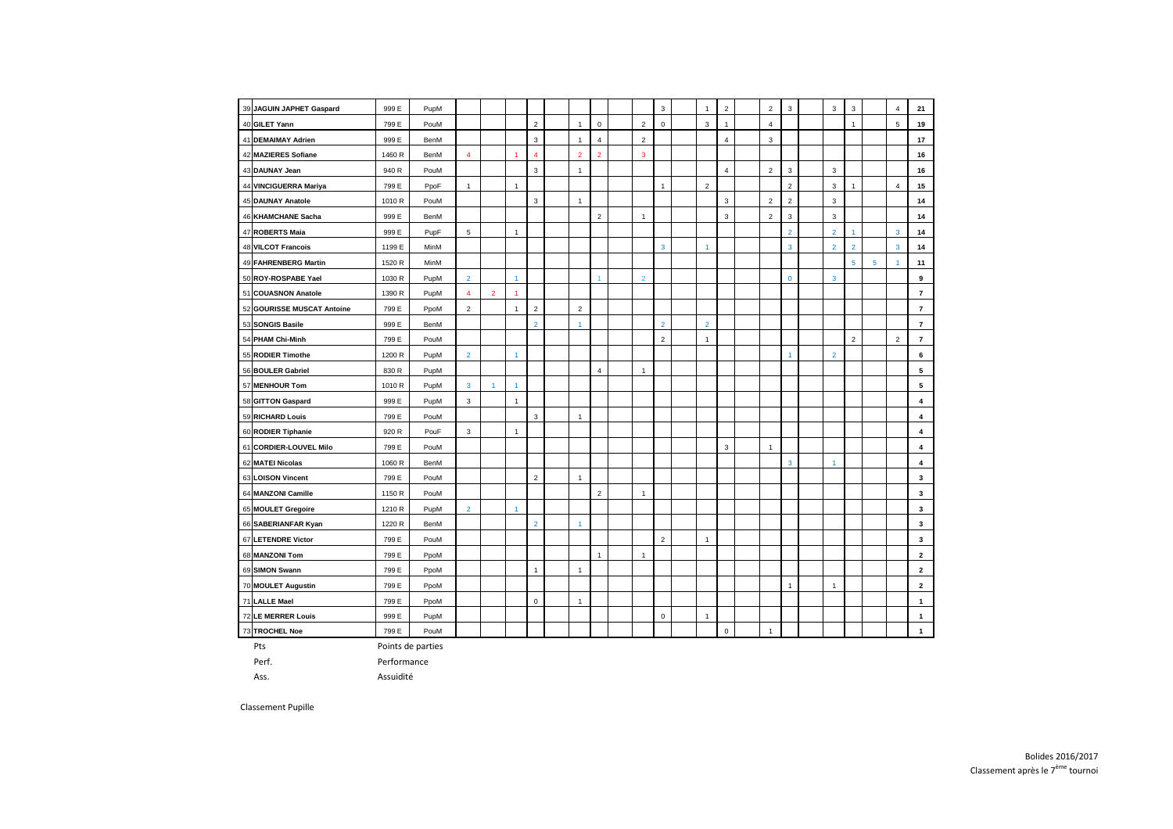| 39 JAGUIN JAPHET Gaspard   | 999 E       | PupM              |                |                |    |                |                |                |                | 3              | $\overline{1}$ | $\overline{2}$      | $\overline{2}$ | $\mathbf{3}$   | 3              | 3              |   | $\overline{4}$ | 21             |
|----------------------------|-------------|-------------------|----------------|----------------|----|----------------|----------------|----------------|----------------|----------------|----------------|---------------------|----------------|----------------|----------------|----------------|---|----------------|----------------|
| 40 GILET Yann              | 799 E       | PouM              |                |                |    | $\overline{2}$ | $\mathbf{1}$   | $\mathbf 0$    | 2              | 0              | 3              |                     | 4              |                |                | $\mathbf 1$    |   | 5              | 19             |
| 41 DEMAIMAY Adrien         | 999 E       | <b>BenM</b>       |                |                |    | 3              | -1             | $\overline{4}$ | $\overline{2}$ |                |                | 4                   | 3              |                |                |                |   |                | 17             |
| 42 MAZIERES Sofiane        | 1460 R      | BenM              | 4              |                |    | 4              | $\overline{2}$ | $\overline{2}$ | 3              |                |                |                     |                |                |                |                |   |                | 16             |
| 43 DAUNAY Jean             | 940 R       | PouM              |                |                |    | 3              | $\mathbf{1}$   |                |                |                |                | 4                   | $\overline{2}$ | 3              | 3              |                |   |                | 16             |
| 44 VINCIGUERRA Mariya      | 799 E       | PpoF              | -1             |                |    |                |                |                |                | 1              | $\overline{2}$ |                     |                | $\overline{2}$ | 3              | $\mathbf{1}$   |   | 4              | 15             |
| 45 DAUNAY Anatole          | 1010 R      | PouM              |                |                |    | 3              | -1             |                |                |                |                | 3                   | $\overline{2}$ | $\overline{2}$ | 3              |                |   |                | 14             |
| 46 KHAMCHANE Sacha         | 999 E       | BenM              |                |                |    |                |                | $\overline{2}$ | -1             |                |                | 3                   | $\overline{2}$ | 3              | 3              |                |   |                | 14             |
| 47 ROBERTS Maia            | 999 E       | PupF              | 5              |                | -1 |                |                |                |                |                |                |                     |                | $\overline{2}$ | $\overline{2}$ |                |   | 3              | 14             |
| 48 VILCOT Francois         | 1199 E      | MinM              |                |                |    |                |                |                |                | 3              | -1             |                     |                | 3              | $\overline{2}$ | $\overline{2}$ |   | 3              | 14             |
| 49 FAHRENBERG Martin       | 1520 R      | MinM              |                |                |    |                |                |                |                |                |                |                     |                |                |                | 5              | 5 |                | 11             |
| 50 ROY-ROSPABE Yael        | 1030 R      | PupM              | $\overline{2}$ |                |    |                |                |                | $\overline{2}$ |                |                |                     |                | $\mathbf 0$    | 3              |                |   |                | 9              |
| 51 COUASNON Anatole        | 1390 R      | PupM              | 4              | $\overline{2}$ |    |                |                |                |                |                |                |                     |                |                |                |                |   |                | 7              |
| 52 GOURISSE MUSCAT Antoine | 799 E       | PpoM              | $\overline{2}$ |                | -1 | $\overline{2}$ | $\overline{2}$ |                |                |                |                |                     |                |                |                |                |   |                | $\overline{7}$ |
| 53 SONGIS Basile           | 999 E       | <b>BenM</b>       |                |                |    | $\overline{2}$ | 1              |                |                | $\overline{2}$ | $\overline{2}$ |                     |                |                |                |                |   |                | $\overline{7}$ |
| 54 PHAM Chi-Minh           | 799 E       | PouM              |                |                |    |                |                |                |                | $\overline{2}$ | -1             |                     |                |                |                | $\overline{2}$ |   | 2              | 7              |
| 55 RODIER Timothe          | 1200 R      | PupM              | $\overline{2}$ |                |    |                |                |                |                |                |                |                     |                |                | $\overline{2}$ |                |   |                | 6              |
| 56 BOULER Gabriel          | 830 R       | PupM              |                |                |    |                |                | 4              | -1             |                |                |                     |                |                |                |                |   |                | 5              |
| 57 MENHOUR Tom             | 1010 R      | PupM              | 3              |                |    |                |                |                |                |                |                |                     |                |                |                |                |   |                | 5              |
| 58 GITTON Gaspard          | 999 E       | PupM              | 3              |                | -1 |                |                |                |                |                |                |                     |                |                |                |                |   |                | 4              |
| 59 RICHARD Louis           | 799 E       | PouM              |                |                |    | 3              | -1             |                |                |                |                |                     |                |                |                |                |   |                | 4              |
| 60 RODIER Tiphanie         | 920 R       | PouF              | 3              |                | -1 |                |                |                |                |                |                |                     |                |                |                |                |   |                | 4              |
| 61 CORDIER-LOUVEL Milo     | 799 E       | PouM              |                |                |    |                |                |                |                |                |                | 3                   | $\mathbf{1}$   |                |                |                |   |                | 4              |
| 62 MATEI Nicolas           | 1060 R      | BenM              |                |                |    |                |                |                |                |                |                |                     |                | 3              |                |                |   |                | 4              |
| 63 LOISON Vincent          | 799 E       | PouM              |                |                |    | $\overline{2}$ | $\mathbf{1}$   |                |                |                |                |                     |                |                |                |                |   |                | 3              |
| 64 MANZONI Camille         | 1150 R      | PouM              |                |                |    |                |                | $\overline{2}$ | $\mathbf{1}$   |                |                |                     |                |                |                |                |   |                | $\mathbf{3}$   |
| 65 MOULET Gregoire         | 1210 R      | PupM              | $\overline{2}$ |                |    |                |                |                |                |                |                |                     |                |                |                |                |   |                | $\mathbf{3}$   |
| 66 SABERIANFAR Kyan        | 1220 R      | BenM              |                |                |    | $\overline{2}$ | $\mathbf{1}$   |                |                |                |                |                     |                |                |                |                |   |                | $\mathbf{3}$   |
| 67 LETENDRE Victor         | 799 E       | PouM              |                |                |    |                |                |                |                | $\overline{2}$ | $\overline{1}$ |                     |                |                |                |                |   |                | $\mathbf{3}$   |
| 68 MANZONI Tom             | 799 E       | PpoM              |                |                |    |                |                | $\mathbf{1}$   | -1             |                |                |                     |                |                |                |                |   |                | $\mathbf{2}$   |
| 69 SIMON Swann             | 799 E       | PpoM              |                |                |    | $\mathbf{1}$   | $\mathbf{1}$   |                |                |                |                |                     |                |                |                |                |   |                | $\mathbf{2}$   |
| 70 MOULET Augustin         | 799 E       | PpoM              |                |                |    |                |                |                |                |                |                |                     |                | $\overline{1}$ | $\mathbf{1}$   |                |   |                | $\mathbf{2}$   |
| 71 LALLE Mael              | 799 E       | PpoM              |                |                |    | $\mathbf 0$    | $\mathbf{1}$   |                |                |                |                |                     |                |                |                |                |   |                | $\mathbf{1}$   |
| 72 LE MERRER Louis         | 999 E       | PupM              |                |                |    |                |                |                |                | 0              | $\overline{1}$ |                     |                |                |                |                |   |                | $\overline{1}$ |
| 73 TROCHEL Noe             | 799 E       | PouM              |                |                |    |                |                |                |                |                |                | $\mathsf{O}\xspace$ | $\mathbf{1}$   |                |                |                |   |                | $\overline{1}$ |
| Pts                        |             | Points de parties |                |                |    |                |                |                |                |                |                |                     |                |                |                |                |   |                |                |
| Perf.                      | Performance |                   |                |                |    |                |                |                |                |                |                |                     |                |                |                |                |   |                |                |

Ass. Assuidité

Classement Pupille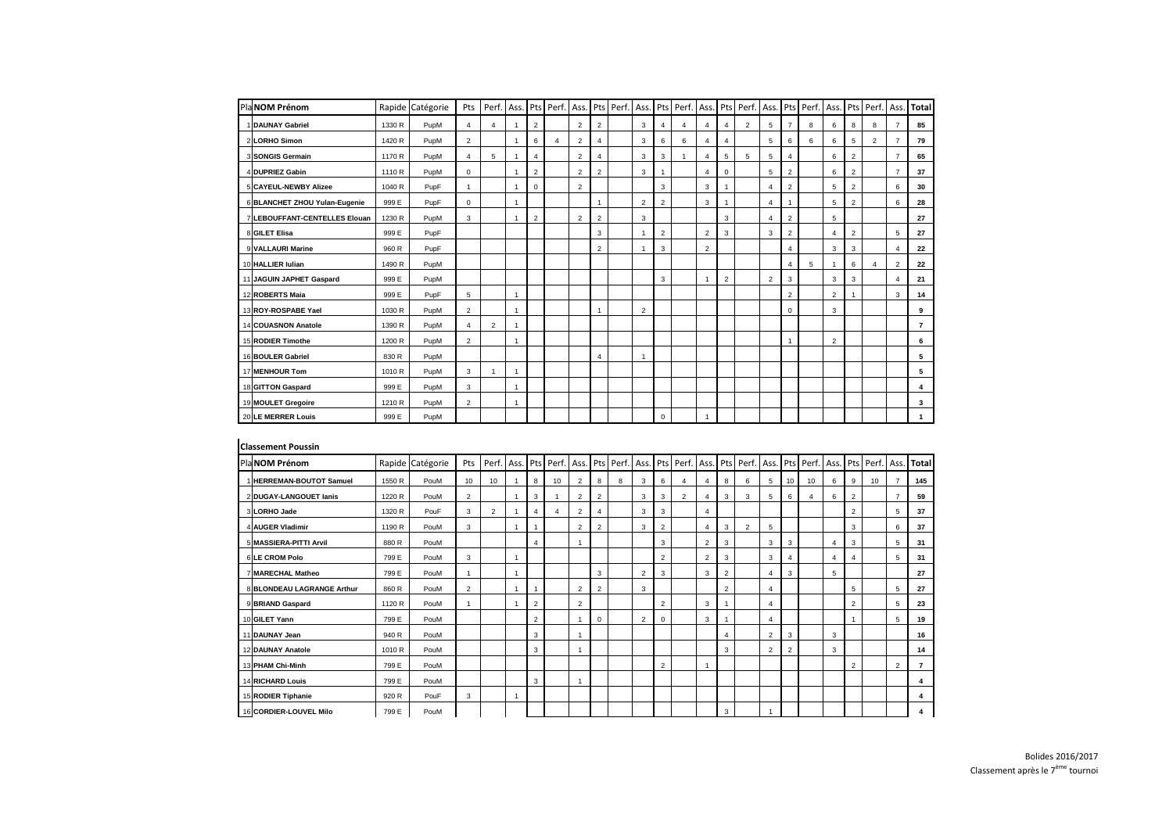| PlaNOM Prénom                 |        | Rapide Catégorie | Pts            | Perf.          | Ass. |                |   |                |                       | Pts   Perf.   Ass.   Pts   Perf. |   |                | Ass. Pts Perf. | Ass.           |                | Pts Perf.      | Ass.           | Pts            | Perf. Ass. |                | Pts            | Perf. Ass. |                       | Total          |
|-------------------------------|--------|------------------|----------------|----------------|------|----------------|---|----------------|-----------------------|----------------------------------|---|----------------|----------------|----------------|----------------|----------------|----------------|----------------|------------|----------------|----------------|------------|-----------------------|----------------|
| 1 DAUNAY Gabriel              | 1330 R | PupM             | 4              | $\overline{4}$ |      | $\overline{2}$ |   | $\overline{2}$ | $\overline{2}$        |                                  | 3 | $\overline{4}$ | 4              | $\overline{4}$ | 4              | $\overline{2}$ | $\sqrt{5}$     | $\overline{7}$ | 8          | 6              | 8              | 8          | $\overline{7}$        | 85             |
| 2LORHO Simon                  | 1420 R | PupM             | $\overline{2}$ |                |      | 6              | 4 | 2              | 4                     |                                  | 3 | 6              | 6              | 4              | 4              |                | 5              | 6              | 6          | 6              | 5              | 2          |                       | 79             |
| 3 SONGIS Germain              | 1170 R | PupM             | 4              | 5              |      | 4              |   | 2              | $\boldsymbol{\Delta}$ |                                  | 3 | 3              |                | 4              | 5              | 5              | 5              | 4              |            | 6              | 2              |            | $\overline{7}$        | 65             |
| 4 DUPRIEZ Gabin               | 1110 R | PupM             | $\mathbf 0$    |                |      | $\overline{2}$ |   | $\overline{2}$ | $\overline{2}$        |                                  | 3 |                |                | $\overline{4}$ | 0              |                | 5              | 2              |            | 6              | $\overline{2}$ |            | $\overline{7}$        | 37             |
| 5 CAYEUL-NEWBY Alizee         | 1040 R | PupF             | -1             |                |      | 0              |   | $\overline{2}$ |                       |                                  |   | 3              |                | 3              |                |                | 4              | 2              |            | 5              | 2              |            | 6                     | 30             |
| 6 BLANCHET ZHOU Yulan-Eugenie | 999 E  | PupF             | $\mathbf{0}$   |                |      |                |   |                |                       |                                  | 2 | $\overline{2}$ |                | 3              |                |                | 4              | $\overline{1}$ |            | 5              | 2              |            | 6                     | 28             |
| 7 LEBOUFFANT-CENTELLES Elouan | 1230 R | PupM             | 3              |                |      | $\overline{2}$ |   | 2              | $\overline{2}$        |                                  | 3 |                |                |                | 3              |                | 4              | 2              |            | 5              |                |            |                       | 27             |
| 8 GILET Elisa                 | 999 E  | PupF             |                |                |      |                |   |                | 3                     |                                  |   | $\overline{2}$ |                | $\overline{2}$ | 3              |                | 3              | $\overline{2}$ |            | 4              | $\overline{2}$ |            | 5                     | 27             |
| 9 VALLAURI Marine             | 960 R  | PupF             |                |                |      |                |   |                | $\overline{2}$        |                                  |   | 3              |                | $\overline{2}$ |                |                |                | $\overline{4}$ |            | 3              | 3              |            | 4                     | 22             |
| 10 HALLIER Iulian             | 1490 R | PupM             |                |                |      |                |   |                |                       |                                  |   |                |                |                |                |                |                | 4              | 5          |                | 6              | 4          | $\overline{2}$        | 22             |
| 11 JAGUIN JAPHET Gaspard      | 999 E  | PupM             |                |                |      |                |   |                |                       |                                  |   | 3              |                | $\overline{1}$ | $\overline{2}$ |                | $\overline{2}$ | 3              |            | 3              | 3              |            | $\boldsymbol{\Delta}$ | 21             |
| 12 ROBERTS Maia               | 999 E  | PupF             | 5              |                |      |                |   |                |                       |                                  |   |                |                |                |                |                |                | 2              |            | $\overline{2}$ |                |            | 3                     | 14             |
| 13 ROY-ROSPABE Yael           | 1030 R | PupM             | $\overline{2}$ |                |      |                |   |                |                       |                                  | 2 |                |                |                |                |                |                | 0              |            | 3              |                |            |                       | 9              |
| 14 COUASNON Anatole           | 1390 R | PupM             | 4              | $\overline{2}$ |      |                |   |                |                       |                                  |   |                |                |                |                |                |                |                |            |                |                |            |                       | $\overline{7}$ |
| 15 RODIER Timothe             | 1200 R | PupM             | $\overline{2}$ |                |      |                |   |                |                       |                                  |   |                |                |                |                |                |                |                |            | $\overline{2}$ |                |            |                       | 6              |
| 16 BOULER Gabriel             | 830 R  | PupM             |                |                |      |                |   |                | 4                     |                                  |   |                |                |                |                |                |                |                |            |                |                |            |                       | 5              |
| 17 MENHOUR Tom                | 1010 R | PupM             | 3              | - 1            |      |                |   |                |                       |                                  |   |                |                |                |                |                |                |                |            |                |                |            |                       | 5              |
| 18 GITTON Gaspard             | 999 E  | PupM             | 3              |                |      |                |   |                |                       |                                  |   |                |                |                |                |                |                |                |            |                |                |            |                       | 4              |
| 19 MOULET Gregoire            | 1210 R | PupM             | $\overline{2}$ |                |      |                |   |                |                       |                                  |   |                |                |                |                |                |                |                |            |                |                |            |                       | $\mathbf{3}$   |
| 20 LE MERRER Louis            | 999 E  | PupM             |                |                |      |                |   |                |                       |                                  |   | $\Omega$       |                | -1             |                |                |                |                |            |                |                |            |                       |                |

| <b>Classement Poussin</b>         |        |                  |                |    |                |    |                          |                |                                                 |   |                |                |                |                |                                    |   |                |                       |   |                |    |                |                      |
|-----------------------------------|--------|------------------|----------------|----|----------------|----|--------------------------|----------------|-------------------------------------------------|---|----------------|----------------|----------------|----------------|------------------------------------|---|----------------|-----------------------|---|----------------|----|----------------|----------------------|
| Pla NOM Prénom                    |        | Rapide Catégorie | Pts            |    |                |    |                          |                | Perf.   Ass.   Pts   Perf.   Ass.   Pts   Perf. |   |                |                |                |                | Ass. Pts Perf. Ass. Pts Perf. Ass. |   | Pts            | Perf. Ass.            |   |                |    |                | Pts Perf. Ass. Total |
| 1 <b>HERREMAN-BOUTOT Samuel</b>   | 1550 R | PouM             | 10             | 10 | 8              | 10 | 2                        | 8              | 8                                               | 3 | 6              | 4              | 4              | 8              | 6                                  | 5 | 10             | 10                    | 6 | 9              | 10 |                | 145                  |
| 2 DUGAY-LANGOUET Ianis            | 1220 R | PouM             | 2              |    | 3              |    | 2                        | 2              |                                                 | 3 | 3              | $\overline{2}$ | 4              | 3              | 3                                  | 5 | 6              | $\boldsymbol{\Delta}$ | 6 | $\overline{2}$ |    | $\overline{7}$ | 59                   |
| 3 LORHO Jade                      | 1320 R | PouF             | 3              | 2  | $\overline{4}$ | 4  | 2                        |                |                                                 | 3 | 3              |                | 4              |                |                                    |   |                |                       |   | $\overline{2}$ |    | 5              | 37                   |
| 4 AUGER Vladimir                  | 1190 R | PouM             | 3              |    |                |    | 2                        | $\overline{2}$ |                                                 | 3 | $\overline{2}$ |                | $\overline{4}$ | 3              | 2                                  | 5 |                |                       |   | 3              |    | 6              | 37                   |
| 5 MASSIERA-PITTI Arvil            | 880 R  | PouM             |                |    | $\overline{4}$ |    |                          |                |                                                 |   | 3              |                | $\overline{2}$ | 3              |                                    | 3 | 3              |                       |   | 3              |    | 5              | 31                   |
| 6LE CROM Polo                     | 799 E  | PouM             | 3              |    |                |    |                          |                |                                                 |   | $\overline{2}$ |                | $\overline{2}$ | 3              |                                    | 3 | $\overline{4}$ |                       |   | 4              |    | 5              | 31                   |
| 7 MARECHAL Matheo                 | 799 E  | PouM             |                |    |                |    |                          | 3              |                                                 | 2 | 3              |                | 3              | $\overline{2}$ |                                    | 4 | 3              |                       | 5 |                |    |                | 27                   |
| <b>8 BLONDEAU LAGRANGE Arthur</b> | 860 R  | PouM             | $\overline{2}$ |    |                |    | 2                        | 2              |                                                 | 3 |                |                |                | $\overline{2}$ |                                    | 4 |                |                       |   | 5              |    | 5              | 27                   |
| 9 BRIAND Gaspard                  | 1120 R | PouM             |                |    | $\overline{2}$ |    | 2                        |                |                                                 |   | $\overline{2}$ |                | 3              |                |                                    | 4 |                |                       |   | $\overline{2}$ |    | 5              | 23                   |
| 10 GILET Yann                     | 799 E  | PouM             |                |    | $\overline{2}$ |    | $\overline{ }$           | 0              |                                                 | 2 | 0              |                | 3              |                |                                    | 4 |                |                       |   | $\mathbf{1}$   |    | 5              | 19                   |
| 11 DAUNAY Jean                    | 940 R  | PouM             |                |    | 3              |    |                          |                |                                                 |   |                |                |                | $\overline{4}$ |                                    | 2 | 3              |                       | 3 |                |    |                | 16                   |
| 12 DAUNAY Anatole                 | 1010 R | PouM             |                |    | 3              |    | $\overline{\phantom{a}}$ |                |                                                 |   |                |                |                | 3              |                                    | 2 | 2              |                       | 3 |                |    |                | 14                   |
| 13 PHAM Chi-Minh                  | 799 E  | PouM             |                |    |                |    |                          |                |                                                 |   | 2              |                |                |                |                                    |   |                |                       |   | 2              |    | 2              | $\overline{7}$       |
| <b>14 RICHARD Louis</b>           | 799 E  | PouM             |                |    | 3              |    | $\overline{\phantom{a}}$ |                |                                                 |   |                |                |                |                |                                    |   |                |                       |   |                |    |                | 4                    |
| 15 RODIER Tiphanie                | 920 R  | PouF             | 3              |    |                |    |                          |                |                                                 |   |                |                |                |                |                                    |   |                |                       |   |                |    |                | 4                    |
| 16 CORDIER-LOUVEL Milo            | 799 E  | PouM             |                |    |                |    |                          |                |                                                 |   |                |                |                | 3              |                                    |   |                |                       |   |                |    |                | 4                    |